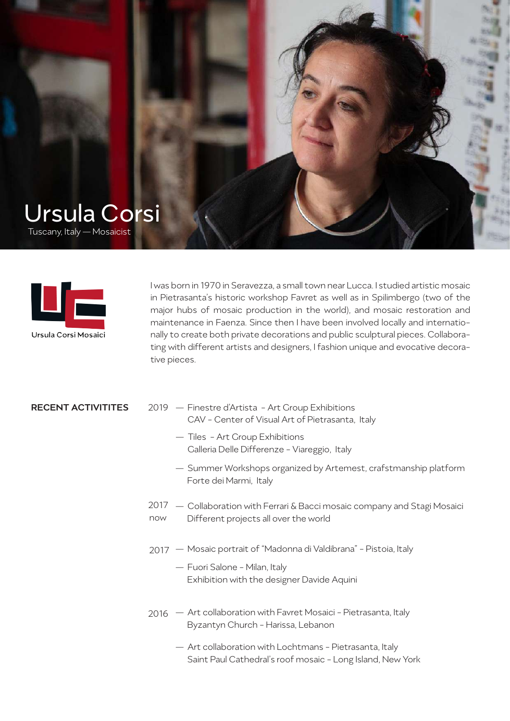



I was born in 1970 in Seravezza, a small town near Lucca. I studied artistic mosaic in Pietrasanta's historic workshop Favret as well as in Spilimbergo (two of the major hubs of mosaic production in the world), and mosaic restoration and maintenance in Faenza. Since then I have been involved locally and internationally to create both private decorations and public sculptural pieces. Collaborating with different artists and designers, I fashion unique and evocative decorative pieces.

- RECENT ACTIVITITES 2019 Finestre d'Artista Art Group Exhibitions CAV - Center of Visual Art of Pietrasanta, Italy
	- Tiles Art Group Exhibitions Galleria Delle Differenze - Viareggio, Italy
	- Summer Workshops organized by Artemest, crafstmanship platform Forte dei Marmi, Italy
	- 2017 Collaboration with Ferrari & Bacci mosaic company and Stagi Mosaici Different projects all over the world now
	- Mosaic portrait of "Madonna di Valdibrana" Pistoia, Italy 2017
		- Fuori Salone Milan, Italy Exhibition with the designer Davide Aquini
	- Art collaboration with Favret Mosaici Pietrasanta, Italy 2016 Byzantyn Church - Harissa, Lebanon
		- Art collaboration with Lochtmans Pietrasanta, Italy Saint Paul Cathedral's roof mosaic - Long Island, New York